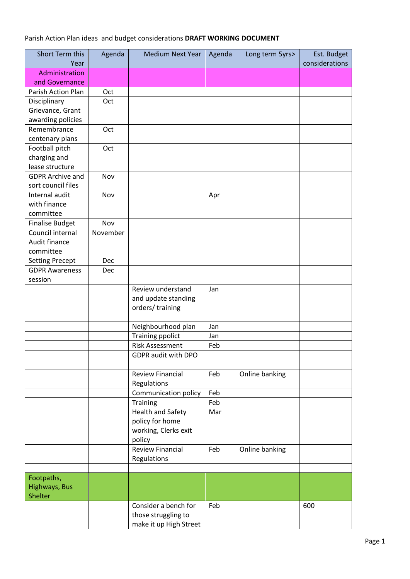## Parish Action Plan ideas and budget considerations **DRAFT WORKING DOCUMENT**

| Short Term this         | Agenda   | <b>Medium Next Year</b> | Agenda | Long term 5yrs> | Est. Budget    |
|-------------------------|----------|-------------------------|--------|-----------------|----------------|
| Year                    |          |                         |        |                 | considerations |
| Administration          |          |                         |        |                 |                |
| and Governance          |          |                         |        |                 |                |
| Parish Action Plan      | Oct      |                         |        |                 |                |
| Disciplinary            | Oct      |                         |        |                 |                |
| Grievance, Grant        |          |                         |        |                 |                |
| awarding policies       |          |                         |        |                 |                |
| Remembrance             | Oct      |                         |        |                 |                |
| centenary plans         |          |                         |        |                 |                |
| Football pitch          | Oct      |                         |        |                 |                |
| charging and            |          |                         |        |                 |                |
| lease structure         |          |                         |        |                 |                |
| <b>GDPR Archive and</b> | Nov      |                         |        |                 |                |
| sort council files      |          |                         |        |                 |                |
| Internal audit          | Nov      |                         | Apr    |                 |                |
| with finance            |          |                         |        |                 |                |
| committee               |          |                         |        |                 |                |
| <b>Finalise Budget</b>  | Nov      |                         |        |                 |                |
| Council internal        | November |                         |        |                 |                |
| Audit finance           |          |                         |        |                 |                |
| committee               |          |                         |        |                 |                |
| <b>Setting Precept</b>  | Dec      |                         |        |                 |                |
| <b>GDPR Awareness</b>   | Dec      |                         |        |                 |                |
| session                 |          |                         |        |                 |                |
|                         |          | Review understand       | Jan    |                 |                |
|                         |          | and update standing     |        |                 |                |
|                         |          | orders/training         |        |                 |                |
|                         |          | Neighbourhood plan      | Jan    |                 |                |
|                         |          | <b>Training ppolict</b> | Jan    |                 |                |
|                         |          | <b>Risk Assessment</b>  | Feb    |                 |                |
|                         |          | GDPR audit with DPO     |        |                 |                |
|                         |          |                         |        |                 |                |
|                         |          | <b>Review Financial</b> | Feb    | Online banking  |                |
|                         |          | Regulations             |        |                 |                |
|                         |          | Communication policy    | Feb    |                 |                |
|                         |          | Training                | Feb    |                 |                |
|                         |          | Health and Safety       | Mar    |                 |                |
|                         |          | policy for home         |        |                 |                |
|                         |          | working, Clerks exit    |        |                 |                |
|                         |          | policy                  |        |                 |                |
|                         |          | <b>Review Financial</b> | Feb    | Online banking  |                |
|                         |          | Regulations             |        |                 |                |
|                         |          |                         |        |                 |                |
| Footpaths,              |          |                         |        |                 |                |
| Highways, Bus           |          |                         |        |                 |                |
| Shelter                 |          |                         |        |                 |                |
|                         |          | Consider a bench for    | Feb    |                 | 600            |
|                         |          | those struggling to     |        |                 |                |
|                         |          | make it up High Street  |        |                 |                |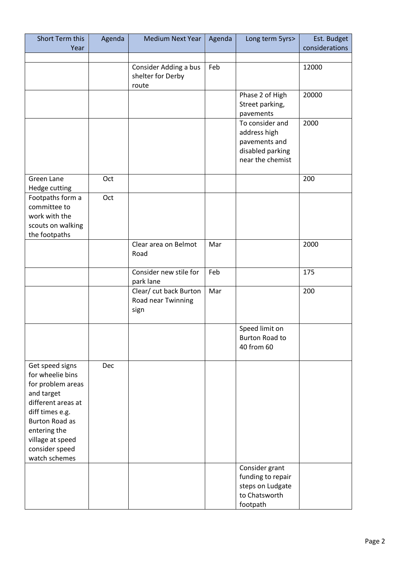| Short Term this<br>Year                  | Agenda | <b>Medium Next Year</b>                      | Agenda | Long term 5yrs>       | Est. Budget<br>considerations |
|------------------------------------------|--------|----------------------------------------------|--------|-----------------------|-------------------------------|
|                                          |        |                                              |        |                       |                               |
|                                          |        | Consider Adding a bus                        | Feb    |                       | 12000                         |
|                                          |        | shelter for Derby                            |        |                       |                               |
|                                          |        | route                                        |        |                       |                               |
|                                          |        |                                              |        | Phase 2 of High       | 20000                         |
|                                          |        |                                              |        | Street parking,       |                               |
|                                          |        |                                              |        | pavements             |                               |
|                                          |        |                                              |        | To consider and       | 2000                          |
|                                          |        |                                              |        | address high          |                               |
|                                          |        |                                              |        | pavements and         |                               |
|                                          |        |                                              |        | disabled parking      |                               |
|                                          |        |                                              |        | near the chemist      |                               |
| Green Lane                               | Oct    |                                              |        |                       | 200                           |
| Hedge cutting                            |        |                                              |        |                       |                               |
| Footpaths form a                         | Oct    |                                              |        |                       |                               |
| committee to                             |        |                                              |        |                       |                               |
| work with the                            |        |                                              |        |                       |                               |
| scouts on walking                        |        |                                              |        |                       |                               |
| the footpaths                            |        |                                              |        |                       |                               |
|                                          |        | Clear area on Belmot                         | Mar    |                       | 2000                          |
|                                          |        | Road                                         |        |                       |                               |
|                                          |        | Consider new stile for                       | Feb    |                       | 175                           |
|                                          |        | park lane                                    |        |                       |                               |
|                                          |        | Clear/ cut back Burton<br>Road near Twinning | Mar    |                       | 200                           |
|                                          |        | sign                                         |        |                       |                               |
|                                          |        |                                              |        |                       |                               |
|                                          |        |                                              |        | Speed limit on        |                               |
|                                          |        |                                              |        | <b>Burton Road to</b> |                               |
|                                          |        |                                              |        | 40 from 60            |                               |
|                                          |        |                                              |        |                       |                               |
| Get speed signs                          | Dec    |                                              |        |                       |                               |
| for wheelie bins                         |        |                                              |        |                       |                               |
| for problem areas                        |        |                                              |        |                       |                               |
| and target                               |        |                                              |        |                       |                               |
| different areas at                       |        |                                              |        |                       |                               |
| diff times e.g.<br><b>Burton Road as</b> |        |                                              |        |                       |                               |
|                                          |        |                                              |        |                       |                               |
| entering the<br>village at speed         |        |                                              |        |                       |                               |
| consider speed                           |        |                                              |        |                       |                               |
| watch schemes                            |        |                                              |        |                       |                               |
|                                          |        |                                              |        | Consider grant        |                               |
|                                          |        |                                              |        | funding to repair     |                               |
|                                          |        |                                              |        | steps on Ludgate      |                               |
|                                          |        |                                              |        | to Chatsworth         |                               |
|                                          |        |                                              |        | footpath              |                               |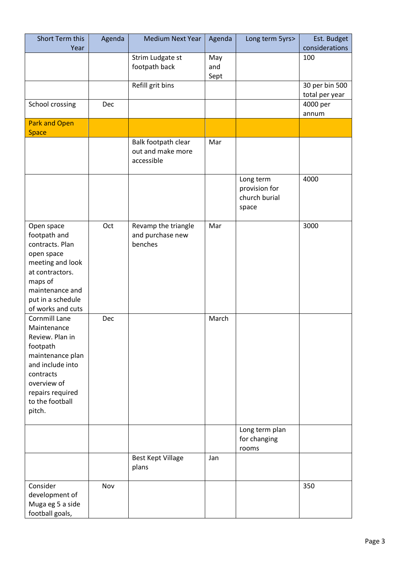| Short Term this<br>Year                                                                                                                                                          | Agenda     | <b>Medium Next Year</b>                                | Agenda             | Long term 5yrs>                                      | Est. Budget<br>considerations    |
|----------------------------------------------------------------------------------------------------------------------------------------------------------------------------------|------------|--------------------------------------------------------|--------------------|------------------------------------------------------|----------------------------------|
|                                                                                                                                                                                  |            | Strim Ludgate st<br>footpath back                      | May<br>and<br>Sept |                                                      | 100                              |
|                                                                                                                                                                                  |            | Refill grit bins                                       |                    |                                                      | 30 per bin 500<br>total per year |
| School crossing                                                                                                                                                                  | Dec        |                                                        |                    |                                                      | 4000 per<br>annum                |
| <b>Park and Open</b><br><b>Space</b>                                                                                                                                             |            |                                                        |                    |                                                      |                                  |
|                                                                                                                                                                                  |            | Balk footpath clear<br>out and make more<br>accessible | Mar                |                                                      |                                  |
|                                                                                                                                                                                  |            |                                                        |                    | Long term<br>provision for<br>church burial<br>space | 4000                             |
| Open space<br>footpath and<br>contracts. Plan<br>open space<br>meeting and look<br>at contractors.<br>maps of<br>maintenance and<br>put in a schedule<br>of works and cuts       | Oct        | Revamp the triangle<br>and purchase new<br>benches     | Mar                |                                                      | 3000                             |
| Cornmill Lane<br>Maintenance<br>Review. Plan in<br>footpath<br>maintenance plan<br>and include into<br>contracts<br>overview of<br>repairs required<br>to the football<br>pitch. | <b>Dec</b> |                                                        | March              |                                                      |                                  |
|                                                                                                                                                                                  |            |                                                        |                    | Long term plan<br>for changing<br>rooms              |                                  |
|                                                                                                                                                                                  |            | <b>Best Kept Village</b><br>plans                      | Jan                |                                                      |                                  |
| Consider<br>development of<br>Muga eg 5 a side<br>football goals,                                                                                                                | Nov        |                                                        |                    |                                                      | 350                              |